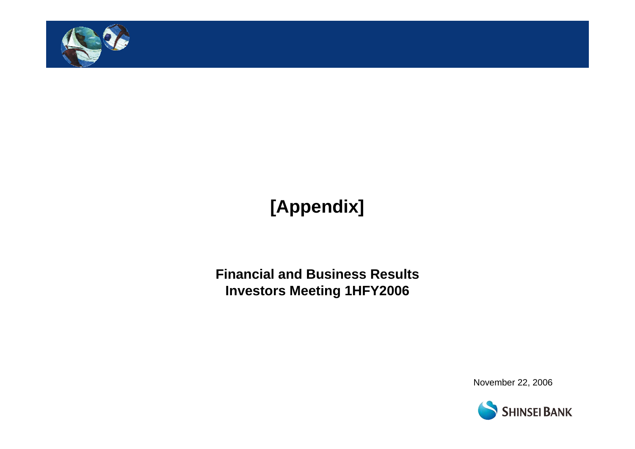

# **[Appendix]**

**Financial and Business Results Investors Meeting 1HFY2006**

November 22, 2006

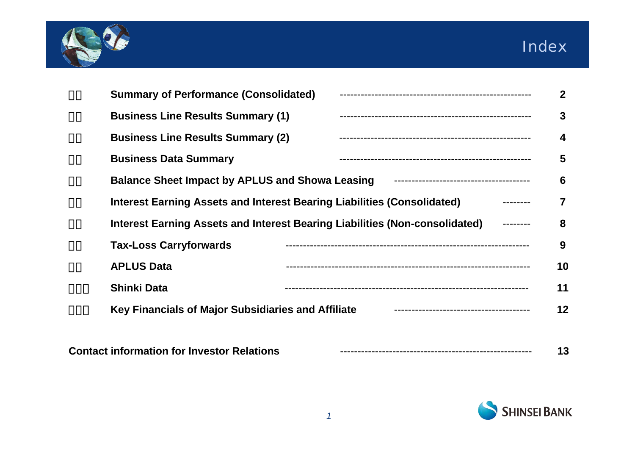



| <b>Summary of Performance (Consolidated)</b>           |                                                                             |
|--------------------------------------------------------|-----------------------------------------------------------------------------|
| <b>Business Line Results Summary (1)</b>               |                                                                             |
| <b>Business Line Results Summary (2)</b>               |                                                                             |
| <b>Business Data Summary</b>                           |                                                                             |
| <b>Balance Sheet Impact by APLUS and Showa Leasing</b> |                                                                             |
|                                                        | Interest Earning Assets and Interest Bearing Liabilities (Consolidated)     |
|                                                        | Interest Earning Assets and Interest Bearing Liabilities (Non-consolidated) |
| <b>Tax-Loss Carryforwards</b>                          |                                                                             |
| <b>APLUS Data</b>                                      |                                                                             |
| <b>Shinki Data</b>                                     |                                                                             |
| Key Financials of Major Subsidiaries and Affiliate     |                                                                             |

| <b>Contact information for Investor Relations</b> |  |  |  |
|---------------------------------------------------|--|--|--|
|---------------------------------------------------|--|--|--|

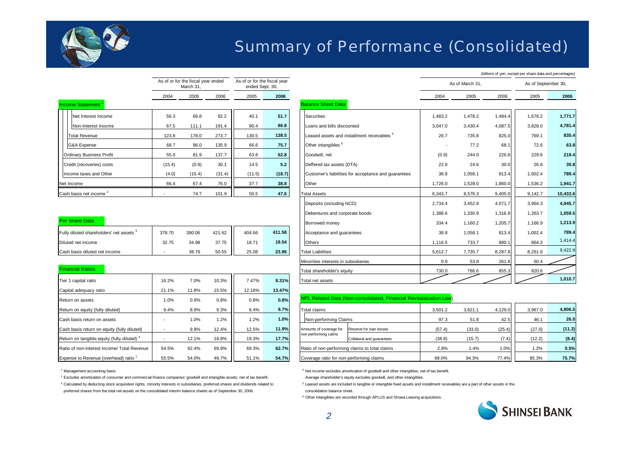

### Summary of Performance (Consolidated)

|                                    |        | As of or for the fiscal year ended<br>March 31, |        | As of or for the fiscal year<br>ended Sept. 30, |        |
|------------------------------------|--------|-------------------------------------------------|--------|-------------------------------------------------|--------|
|                                    | 2004   | 2005                                            | 2006   | 2005                                            | 2006   |
| Income Statement <sup>1</sup>      |        |                                                 |        |                                                 |        |
| Net Interest Income                | 56.3   | 66.8                                            | 82.2   | 40.1                                            | 51.7   |
| Non-Interest Inocme                | 67.5   | 111.1                                           | 191.4  | 90.4                                            | 86.8   |
| <b>Total Revenue</b>               | 123.8  | 178.0                                           | 273.7  | 130.5                                           | 138.5  |
| G&A Expense                        | 68.7   | 96.0                                            | 135.9  | 66.6                                            | 75.7   |
| <b>Ordinary Business Profit</b>    | 55.0   | 81.9                                            | 137.7  | 63.8                                            | 62.8   |
| Credit (recoveries) costs          | (15.4) | (0.9)                                           | 30.1   | 14.5                                            | 5.2    |
| Income taxes and Other             | (4.0)  | (15.4)                                          | (31.4) | (11.5)                                          | (18.7) |
| Net Income                         | 66.4   | 67.4                                            | 76.0   | 37.7                                            | 38.8   |
| Cash basis net income <sup>2</sup> |        | 74.7                                            | 101.9  | 50.5                                            | 47.6   |

| <b>Per Share Data</b>                    |        |        |        |        |        |
|------------------------------------------|--------|--------|--------|--------|--------|
| Fully diluted shareholders' net assets 3 | 378.70 | 390.06 | 421.62 | 404.66 | 411.58 |
| Diluted net income                       | 32.75  | 34.98  | 37.75  | 18.71  | 19.54  |
| Cash basis diluted net income            |        | 38.76  | 50.55  | 25.08  | 23.96  |

#### Financial Ratios

| Tier 1 capital ratio                                   | 16.2% | 7.0%  | 10.3% | 7.47%  | 8.31%  |
|--------------------------------------------------------|-------|-------|-------|--------|--------|
| Capital adequacy ratio                                 | 21.1% | 11.8% | 15.5% | 12.16% | 13.47% |
| Return on assets                                       | 1.0%  | 0.9%  | 0.8%  | 0.8%   | 0.8%   |
| Return on equity (fully diluted)                       | 9.4%  | 8.9%  | 9.3%  | 9.4%   | 9.7%   |
| Cash basis return on assets                            |       | 1.0%  | 1.2%  | 1.2%   | 1.0%   |
| Cash basis return on equity (fully diluted)            |       | 9.8%  | 12.4% | 12.5%  | 11.9%  |
| Return on tangible equity (fully diluted) <sup>4</sup> |       | 12.1% | 18.8% | 19.3%  | 17.7%  |
| Ratio of non-interest income/ Total Revenue            | 54.5% | 62.4% | 69.9% | 69.3%  | 62.7%  |
| Expense to Revenue (overhead) ratio <sup>1</sup>       | 55.5% | 54.0% | 49.7% | 51.1%  | 54.7%  |

<sup>1</sup> Management accounting basis

<sup>2</sup> Excludes amortizaiton of consumer and commercial finance companies' goodwill and intangible assets, net of tax benefit. Average shareholder's equity excludes goodwill, and other intangibles.

<sup>3</sup> Calculated by deducting stock acquisition rights, minority interests in subsidiaries, preferred shares and dividends related to

preferred shares from the total net assets on the consolidated interim balance sheets as of September 30, 2006. consolidation balance sheet.

|                                          |        | As of or for the fiscal year ended<br>March 31 |        | As of or for the fiscal year<br>ended Sept. 30, |        |                                                        |         | As of March 31, |         | As of September 30, |          |
|------------------------------------------|--------|------------------------------------------------|--------|-------------------------------------------------|--------|--------------------------------------------------------|---------|-----------------|---------|---------------------|----------|
|                                          | 2004   | 2005                                           | 2006   | 2005                                            | 2006   |                                                        | 2004    | 2005            | 2006    | 2005                | 2006     |
| Income Statement <sup>1</sup>            |        |                                                |        |                                                 |        | <b>Balance Sheet Data</b>                              |         |                 |         |                     |          |
| Net Interest Income                      | 56.3   | 66.8                                           | 82.2   | 40.1                                            | 51.7   | Securities                                             | 1,483.2 | 1,478.2         | 1,494.4 | 1,678.2             | 1,771.7  |
| Non-Interest Inocme                      | 67.5   | 111.1                                          | 191.4  | 90.4                                            | 86.8   | Loans and bills discounted                             | 3,047.0 | 3,430.4         | 4,087.5 | 3,828.0             | 4,781.4  |
| Total Revenue                            | 123.8  | 178.0                                          | 273.7  | 130.5                                           | 138.5  | Leased assets and installment receivables <sup>5</sup> | 26.7    | 735.8           | 825.0   | 769.1               | 835.4    |
| G&A Expense                              | 68.7   | 96.0                                           | 135.9  | 66.6                                            | 75.7   | Other intangibles <sup>6</sup>                         |         | 77.2            | 68.1    | 72.6                | 63.8     |
| <b>Ordinary Business Profit</b>          | 55.0   | 81.9                                           | 137.7  | 63.8                                            | 62.8   | Goodwill, net                                          | (0.9)   | 244.0           | 226.6   | 229.6               | 219.4    |
| Credit (recoveries) costs                | (15.4) | (0.9)                                          | 30.1   | 14.5                                            | 5.2    | Deffered tax assets (DTA)                              | 22.9    | 24.6            | 30.0    | 26.6                | 30.8     |
| Income taxes and Other                   | (4.0)  | (15.4)                                         | (31.4) | (11.5)                                          | (18.7) | Customer's liabilities for acceptance and quarantees   | 38.8    | 1,058.1         | 813.4   | 1,002.4             | 789.4    |
| Net Income                               | 66.4   | 67.4                                           | 76.0   | 37.7                                            | 38.8   | Other                                                  | 1,726.0 | 1,528.0         | 1,860.0 | 1.536.2             | 1,941.7  |
| Cash basis net income <sup>2</sup>       |        | 74.7                                           | 101.9  | 50.5                                            | 47.6   | <b>Total Assets</b>                                    | 6,343.7 | 8,576.3         | 9,405.0 | 9.142.7             | 10,433.6 |
|                                          |        |                                                |        |                                                 |        | Deposits (including NCD)                               | 2,734.4 | 3,452.8         | 4.071.7 | 3.964.3             | 4,945.7  |
|                                          |        |                                                |        |                                                 |        | Debentures and corporate bonds                         | 1,388.6 | 1,330.9         | 1,316.9 | 1.263.7             | 1,059.5  |
| Per Share Data                           |        |                                                |        |                                                 |        | Borrowed money                                         | 334.4   | 1,160.2         | 1,205.7 | 1.166.9             | 1,213.9  |
| Fully diluted shareholders' net assets 3 | 378.70 | 390.06                                         | 421.62 | 404.66                                          | 411.58 | Acceptance and quarantees                              | 38.8    | 1,058.1         | 813.4   | 1.002.4             | 789.4    |
| Diluted net income                       | 32.75  | 34.98                                          | 37.75  | 18.71                                           | 19.54  | <b>Others</b>                                          | 1,116.5 | 733.7           | 880.1   | 864.3               | 1,414.4  |
| Cash basis diluted net income            |        | 38.76                                          | 50.55  | 25.08                                           | 23.96  | <b>Total Liabilities</b>                               | 5,612.7 | 7,735.7         | 8,287.8 | 8,261.6             | 9,422.9  |
|                                          |        |                                                |        |                                                 |        | Minorities interests in subsidiaries                   | 0.9     | 53.8            | 261.8   | 60.4                |          |
| <b>Financial Ratios</b>                  |        |                                                |        |                                                 |        | Total shareholder's equity                             | 730.0   | 786.6           | 855.3   | 820.6               |          |
| Tier 1 capital ratio                     | 16.2%  | 7.0%                                           | 10.3%  | 7.47%                                           | 8.31%  | Total net assets                                       |         |                 |         |                     | 1,010.7  |
|                                          |        |                                                |        |                                                 |        |                                                        |         |                 |         |                     |          |

#### **0.8%** NPL Related Data (Non-consolidated, Financial Revitalaization Law)

| Return on equity (fully diluted)                       | 9.4%  | 8.9%  | 9.3%  | 9.4%  | 9.7%  | Total claims                             |                                                | 3.501.2 | 3.621.1 | 4,129.0 | 3,967.0 | 4.806.5 |
|--------------------------------------------------------|-------|-------|-------|-------|-------|------------------------------------------|------------------------------------------------|---------|---------|---------|---------|---------|
| Cash basis return on assets                            |       | 1.0%  | 1.2%  | 1.2%  | 1.0%  |                                          | Non-performing Claims                          |         | 51.8    | 42.5    | 46.1    | 26.0    |
| Cash basis return on equity (fully diluted)            |       | 9.8%  | 12.4% | 12.5% | 11.9% | Amounts of coverage for                  | Reserve for loan losses                        | (57.4)  | (33.0)  | (25.4)  | (27.0)  | (11.2)  |
| Return on tangible equity (fully diluted) <sup>'</sup> |       | 12.1% | 18.8% | 19.3% | 17.7% | non-performing calms                     | Collateral and quarantees                      | (38.8)  | (15.7)  | (7.4)   | (12.2)  | (8.4)   |
| Ratio of non-interest income/ Total Revenue            | 54.5% | 62.4% | 69.9% | 69.3% | 62.7% |                                          | Ratio of non-performing claims to total claims | 2.8%    | 1.4%    | 1.0%    | 1.2%    | 0.5%    |
| Expense to Revenue (overhead) ratio 1                  | 55.5% | 54.0% | 49.7% | 51.1% | 54.7% | Coverage ratio for non-performing claims |                                                | 99.0%   | 94.3%   | 77.4%   | 85.3%   | 75.7%   |

<sup>4</sup> Net income excludes amortization of goodwill and other intangibles, net of tax benefit.

<sup>5</sup> Leased assets are included in tangible or intangible fixed assets and installment receivables are a part of other assets in the

<sup>6</sup> Other intangibles are recorded through APLUS and Showa Leasing acquisitions.



(billions of yen, except per share data and percentages)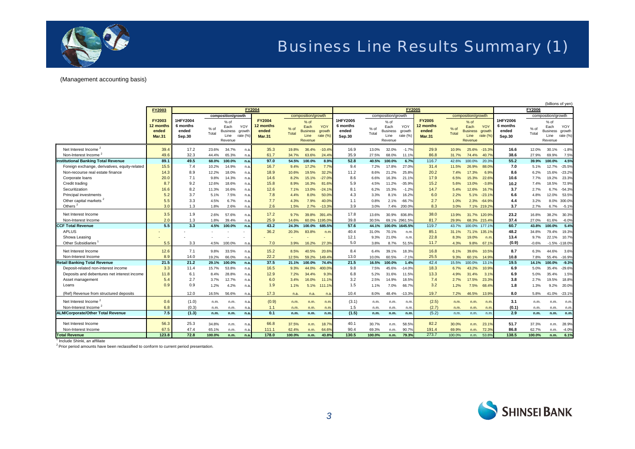

## Business Line Results Summary (1)

#### (Management accounting basis)

|                                               |                                                      |                                         |               |                                                                          |                           |                                                      |                 |                                                                          |                              |                                         |               |                                                                          |                              |                                                      |                 |                                                                            |                 | (billions of yen)                       |               |                                                                            |                           |
|-----------------------------------------------|------------------------------------------------------|-----------------------------------------|---------------|--------------------------------------------------------------------------|---------------------------|------------------------------------------------------|-----------------|--------------------------------------------------------------------------|------------------------------|-----------------------------------------|---------------|--------------------------------------------------------------------------|------------------------------|------------------------------------------------------|-----------------|----------------------------------------------------------------------------|-----------------|-----------------------------------------|---------------|----------------------------------------------------------------------------|---------------------------|
|                                               | FY2003                                               |                                         |               |                                                                          |                           | <b>FY2004</b>                                        |                 |                                                                          |                              |                                         |               |                                                                          | <b>FY2005</b>                |                                                      |                 |                                                                            |                 |                                         | FY2006        |                                                                            |                           |
|                                               | <b>FY2003</b><br>12 months<br>ended<br><b>Mar.31</b> | 1HFY2004<br>6 months<br>ended<br>Sep.30 | % of<br>Total | composition/growth<br>% of<br>Each<br><b>Business</b><br>Line<br>Revenue | YOY<br>growth<br>rate (%) | <b>FY2004</b><br>12 months<br>ended<br><b>Mar.31</b> | $%$ of<br>Total | composition/growth<br>% of<br>Each<br><b>Business</b><br>Line<br>Revenue | YOY<br>arowth<br>rate $(\%)$ | 1HFY2005<br>6 months<br>ended<br>Sep.30 | % of<br>Total | composition/growth<br>% of<br>Each<br><b>Business</b><br>Line<br>Revenue | YOY<br>growth<br>rate $(\%)$ | <b>FY2005</b><br>12 months<br>ended<br><b>Mar.31</b> | $%$ of<br>Total | composition/growth<br>$%$ of<br>Each<br>Business growth<br>Line<br>Revenue | YOY<br>rate (%) | 1HFY2006<br>6 months<br>ended<br>Sep.30 | % of<br>Total | composition/growth<br>$%$ of<br>Each<br><b>Business</b><br>Line<br>Revenue | YOY<br>growth<br>rate (%) |
| Net Interest Income <sup>2</sup>              | 39.4                                                 | 17.2                                    | 23.6%         | 34.7%                                                                    | n.a.                      | 35.3                                                 | 19.8%           | 36.4%                                                                    | $-10.4%$                     | 16.9                                    | 13.0%         | 32.0%                                                                    | $-1.7%$                      | 29.9                                                 | 10.9%           | 25.6%                                                                      | $-15.3%$        | 16.6                                    | 12.0%         | 30.1%                                                                      | $-1.8%$                   |
| Non-Interest Income                           | 49.6                                                 | 32.3                                    | 44.4%         | 65.3%                                                                    | n.a.                      | 61.7                                                 | 34.7%           | 63.6%                                                                    | 24.4%                        | 35.9                                    | 27.5%         | 68.0%                                                                    | 11.19                        | 86.8                                                 | 31.7%           | 74.4%                                                                      | 40.7%           | 38.6                                    | 27.9%         | 69.9%                                                                      | 7.5%                      |
| <b>Institutional Banking Total Revenue</b>    | 89.1                                                 | 49.5                                    | 68.0%         | 100.0%                                                                   | n.a.                      | 97.0                                                 | 54.5%           | 100.0%                                                                   | 8.9%                         | 52.8                                    | 40.5%         | 100.0%                                                                   | 6.7%                         | 116.7                                                | 42.6%           | 100.0%                                                                     | 20.3%           | 55.2                                    | 39.9%         | 100.0%                                                                     | 4.5%                      |
| Foreign exchange, derivatives, equity-related | 15.5                                                 | 7.4                                     | 10.2%         | 14.9%                                                                    | n.a.                      | 16.7                                                 | 9.4%            | 17.2%                                                                    | 7.7%                         | 9.4                                     | 7.2%          | 17.8%                                                                    | 27.0%                        | 31.4                                                 | 11.5%           | 26.9%                                                                      | 88.0%           | 7.0                                     | 5.1%          | 12.7%                                                                      | $-25.5%$                  |
| Non-recourse real estate finance              | 14.3                                                 | 8.9                                     | 12.2%         | 18.0%                                                                    | n.a.                      | 18.9                                                 | 10.6%           | 19.5%                                                                    | 32.2%                        | 11.2                                    | 8.6%          | 21.2%                                                                    | 25.8%                        | 20.2                                                 | 7.4%            | 17.3%                                                                      | 6.9%            | 8.6                                     | 6.2%          | 15.6%                                                                      | $-23.2%$                  |
| Corporate loans                               | 20.0                                                 | 7.1                                     | 9.8%          | 14.3%                                                                    | n.a.                      | 14.6                                                 | 8.2%            | 15.1%                                                                    | $-27.0%$                     | 8.6                                     | 6.6%          | 16.3%                                                                    | 21.1%                        | 17.9                                                 | 6.5%            | 15.3%                                                                      | 22.6%           | 10.6                                    | 7.7%          | 19.2%                                                                      | 23.3%                     |
| Credit trading                                | 8.7                                                  | 9.2                                     | 12.6%         | 18.6%                                                                    | n.a.                      | 15.8                                                 | 8.9%            | 16.3%                                                                    | 81.6%                        | 5.9                                     | 4.5%          | 11.2%                                                                    | $-35.9%$                     | 15.2                                                 | 5.6%            | 13.0%                                                                      | $-3.89$         | 10.2                                    | 7.4%          | 18.5%                                                                      | 72.9%                     |
| Securitization                                | 16.6                                                 | 8.2                                     | 11.3%         | 16.6%                                                                    | n.a                       | 12.6                                                 | 7.1%            | 13.0%                                                                    | $-24.1%$                     | 8.1                                     | 6.2%          | 15.3%                                                                    | $-1.2%$                      | 14.7                                                 | 5.4%            | 12.6%                                                                      | 16.7%           | 3.7                                     | 2.7%          | 6.7%                                                                       | $-54.3%$                  |
| <b>Principal investments</b>                  | 5.2                                                  | 3.7                                     | 5.1%          | 7.5%                                                                     | n.a.                      | 7.8                                                  | 4.4%            | 8.0%                                                                     | 50.0%                        | 4.3                                     | 3.3%          | 8.1%                                                                     | 16.2%                        | 6.0                                                  | 2.2%            | 5.1%                                                                       | $-23.1%$        | 6.6                                     | 4.8%          | 12.0%                                                                      | 53.5%                     |
| Other capital markets <sup>2</sup>            | 5.5                                                  | 3.3                                     | 4.5%          | 6.7%                                                                     | n.a                       | 7.7                                                  | 4.3%            | 7.9%                                                                     | 40.0%                        | 1.1                                     | 0.8%          | 2.1%                                                                     | $-66.7%$                     | 2.7                                                  | 1.0%            | 2.3%                                                                       | $-64.9%$        | 4.4                                     | 3.2%          | 8.0%                                                                       | 300.0%                    |
| Others <sup>2</sup>                           | 3.0                                                  | 1.3                                     | 1.8%          | 2.6%                                                                     | n.a.                      | 2.6                                                  | 1.5%            | 2.7%                                                                     | $-13.3%$                     | 3.9                                     | 3.0%          | 7.4%                                                                     | 200.0%                       | 8.3                                                  | 3.0%            | 7.1% 219.29                                                                |                 | 3.7                                     | 2.7%          | 6.7%                                                                       | $-5.19$                   |
| Net Interest Income                           | 3.5                                                  | 1.9                                     | 2.6%          | 57.6%                                                                    | n.a                       | 17.2                                                 | 9.7%            | 39.8%                                                                    | 391.4%                       | 17.8                                    | 13.6%         | 30.9%                                                                    | 836.8%                       | 38.0                                                 | 13.9%           | 31.7% 120.9%                                                               |                 | 23.2                                    | 16.8%         | 38.2%                                                                      | 30.3%                     |
| Non-Interest Income                           | 2.0                                                  | 1.3                                     | 1.8%          | 39.4%                                                                    | n.a                       | 25.9                                                 | 14.6%           | 60.0% 1195.09                                                            |                              | 39.8                                    | 30.5%         | 69.1% 2961.5%                                                            |                              | 81.7                                                 | 29.9%           | 68.3% 215.4%                                                               |                 | 37.4                                    | 27.0%         | 61.6%                                                                      | $-6.0%$                   |
| <b>CCF Total Revenue</b>                      | 5.5                                                  | 3.3                                     | 4.5%          | 100.0%                                                                   | n.a                       | 43.2                                                 | 24.3%           | 100.0%                                                                   | 685.5%                       | 57.6                                    | 44.1%         | 100.0%                                                                   | 1645.5%                      | 119.7                                                | 43.7%           | 100.0%                                                                     | 177.19          | 60.7                                    | 43.8%         | 100.0%                                                                     | 5.4%                      |
| <b>APLUS</b>                                  |                                                      |                                         |               |                                                                          |                           | 36.2                                                 | 20.3%           | 83.8%                                                                    | n.m                          | 40.4                                    | 31.0%         | 70.1%                                                                    | n.m.                         | 85.1                                                 | 31.1%           | 71.1%                                                                      | 135.1%          | 48.2                                    | 34.8%         | 79.4%                                                                      | 19.3%                     |
| Showa Leasing                                 |                                                      |                                         |               |                                                                          |                           |                                                      |                 |                                                                          |                              | 12.1                                    | 9.3%          | 21.0%                                                                    | n.m                          | 22.8                                                 | 8.3%            | 19.0%                                                                      | n.m             | 13.4                                    | 9.7%          | 22.1%                                                                      | 10.7%                     |
| <b>Other Subsidiaries</b>                     | 5.5                                                  | 3.3                                     | 4.5%          | 100.0%                                                                   | n.a.                      | 7.0                                                  | 3.9%            | 16.2%                                                                    | 27.3%                        | 5.0                                     | 3.8%          | 8.7%                                                                     | 51.5%                        | 11.7                                                 | 4.3%            | 9.8%                                                                       | 67.19           | (0.9)                                   | $-0.6%$       | $-1.5\% -118.0\%$                                                          |                           |
| Net Interest Income                           | 12.6                                                 | 7.1                                     | 9.8%          | 33.5%                                                                    | n.a.                      | 15.2                                                 | 8.5%            | 40.5%                                                                    | 20.6%                        | 8.4                                     | 6.4%          | 39.1%                                                                    | 18.3%                        | 16.8                                                 | 6.1%            | 39.6%                                                                      | 10.5%           | 8.7                                     | 6.3%          | 44.6%                                                                      | 3.6%                      |
| Non-Interest Income                           | 8.9                                                  | 14.0                                    | 19.2%         | 66.0%                                                                    | n.a.                      | 22.2                                                 | 12.5%           | 59.2%                                                                    | 149.4%                       | 13.0                                    | 10.0%         | 60.5%                                                                    | $-7.19$                      | 25.5                                                 | 9.3%            | 60.1%                                                                      | 14.9%           | 10.8                                    | 7.8%          | 55.4%                                                                      | $-16.9%$                  |
| <b>Retail Banking Total Revenue</b>           | 21.5                                                 | 21.2                                    | 29.1%         | 100.0%                                                                   | n.a.                      | 37.5                                                 | 21.1%           | 100.0%                                                                   | 74.4%                        | 21.5                                    | 16.5%         | 100.0%                                                                   | 1.4%                         | 42.4                                                 | 15.5%           | 100.0%                                                                     | 13.19           | 19.5                                    | 14.1%         | 100.0%                                                                     | $-9.3%$                   |
| Deposit-related non-interest income           | 3.3                                                  | 11.4                                    | 15.7%         | 53.8%                                                                    | n.a.                      | 16.5                                                 | 9.3%            | 44.0%                                                                    | 400.0%                       | 9.8                                     | 7.5%          | 45.6%                                                                    | $-14.0%$                     | 18.3                                                 | 6.7%            | 43.2%                                                                      | 10.9%           | 6.9                                     | 5.0%          | 35.4%                                                                      | $-29.6%$                  |
| Deposits and debentures net interest income   | 11.8                                                 | 6.1                                     | 8.4%          | 28.8%                                                                    | n.a.                      | 12.9                                                 | 7.2%            | 34.4%                                                                    | 9.3%                         | 6.8                                     | 5.2%          | 31.6%                                                                    | 11.5%                        | 13.3                                                 | 4.9%            | 31<br>.4%                                                                  | 3.1%            | 6.9                                     | 5.0%          | 35.4%                                                                      | 1.5%                      |
| Asset management                              | 5.4                                                  | 2.7                                     | 3.7%          | 12.7%                                                                    | n.a.                      | 6.0                                                  | 3.4%            | 16.0%                                                                    | 11.1%                        | 3.2                                     | 2.5%          | 14.9%                                                                    | 18.5%                        | 7.4                                                  | 2.7%            | 17.5%                                                                      | 23.3%           | 3.8                                     | 2.7%          | 19.5%                                                                      | 18.8%                     |
| Loans                                         | 0.9                                                  | 0.9                                     | 1.2%          | 4.2%                                                                     | n.a                       | 1.9                                                  | 1.1%            | 5.1%                                                                     |                              | 1.5                                     | 1.1%          | 7.0%                                                                     | 66.7%                        | 3.2                                                  | 1.2%            | 7.5%                                                                       | 68.4%           | 1.8                                     | 1.3%          | 9.2%                                                                       | 20.0%                     |
| (Ref) Revenue from structured deposits        |                                                      | 12.0                                    | 16.5%         | 56.6%                                                                    | n.a.                      | 17.3                                                 | n.a.            | n.a.                                                                     | n.a                          | 10.4                                    | 8.0%          | 48.4%                                                                    | $-13.3%$                     | 19.7                                                 | 7.2%            | 46.5%                                                                      | 13.9%           | 8.0                                     | 5.8%          | 41.0%                                                                      | $-23.19$                  |
| Net Interest Income <sup>2</sup>              | 0.6                                                  | (1.0)                                   | n.m           | n.m.                                                                     | n.a                       | (0.9)                                                | n.m.            | n.m.                                                                     | n.m                          | (3.1)                                   | n.m.          | n.m.                                                                     | n.m.                         | (2.5)                                                | n.m.            | n.m.                                                                       | n.m             | 3.1                                     | n.m.          | n.m.                                                                       | n.m.                      |
| Non-Interest Income <sup>2</sup>              | 6.8                                                  | (0.3)                                   | n.m           | n.m.                                                                     | n.a                       | 1.1                                                  | n.m.            | n.m.                                                                     | n.m                          | 1.5                                     | n.m.          | n.m.                                                                     | n.m                          | (2.7)                                                | n.m.            | n.m.                                                                       | n.m             | (0.1)                                   | n.m.          | n.m.                                                                       | n.m.                      |
| <b>ALM/Corporate/Other Total Revenue</b>      | 7.5                                                  | (1.3)                                   | n.m.          | n.m.                                                                     | n.a.                      | 0.1                                                  | n.m.            | n.m.                                                                     | n.m.                         | (1.5)                                   | n.m.          | n.m.                                                                     | n.m.                         | (5.2)                                                | n.m.            | n.m.                                                                       | n.m             | 2.9                                     | n.m.          | n.m.                                                                       | n.m                       |
| Net Interest Income                           | 56.3                                                 | 25.3                                    | 34.8%         | n.m.                                                                     | n.a                       | 66.8                                                 | 37.5%           | n.m.                                                                     | 18.7%                        | 40.1                                    | 30.7%         | n.m.                                                                     | 58.5%                        | 82.2                                                 | 30.0%           | n.m.                                                                       | 23.19           | 51.7                                    | 37.3%         | n.m.                                                                       | 28.9%                     |
| Non-Interest Income                           | 67.5                                                 | 47.4                                    | 65.1%         | n.m.                                                                     | n.a.                      | 111.1                                                | 62.4%           | n.m.                                                                     | 64.6%                        | 90.4                                    | 69.3%         | n.m.                                                                     | 90.7%                        | 191.4                                                | 69.9%           | n.m.                                                                       | 72.3%           | 86.8                                    | 62.7%         | n.m.                                                                       | $-4.0%$                   |
| <b>Total Revenue</b>                          | 123.8                                                | 72.8                                    | 100.0%        | n.m.                                                                     | n.a.                      | 178.0                                                | 100.0%          | n.m.                                                                     | 43.8%                        | 130.5                                   | 100.0%        | n.m.                                                                     | 79.3%                        | 273.7                                                | 100.0%          | n.m.                                                                       | 53.8%           | 138.5                                   | 100.0%        | n.m.                                                                       | 6.1%                      |

<sup>1</sup> Include Shinki, an affiliate

 $2$  Prior period amounts have been reclassified to conform to current period presentation.

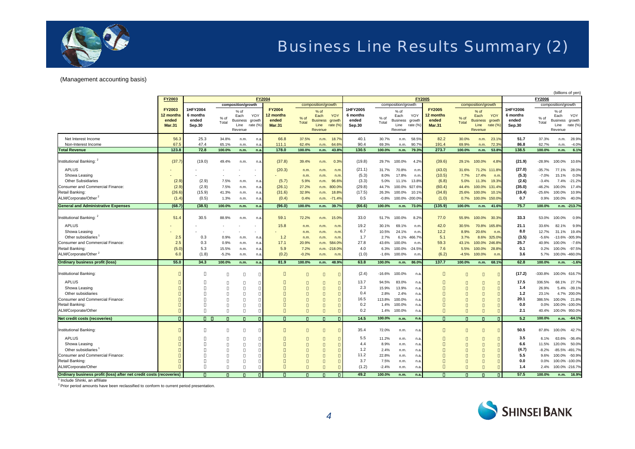

#### (Management accounting basis)

|                                                                                                                                                                                                                                                                                                                                                                                     |                                                      |                                             |                                                     |                                                                          |                                        |                                                        |                                                                     |                                                                          |                                                                   |                                                                                                                 |                                                                                                                                       |                                                                                                                                          |                                                                                                                          |                                                                  |                                                                      |                                                                            | (billions of yen)                                                   |                                                                                                                  |                                                                                                                                           |                                                                                                                                                                                                                                                                      |  |
|-------------------------------------------------------------------------------------------------------------------------------------------------------------------------------------------------------------------------------------------------------------------------------------------------------------------------------------------------------------------------------------|------------------------------------------------------|---------------------------------------------|-----------------------------------------------------|--------------------------------------------------------------------------|----------------------------------------|--------------------------------------------------------|---------------------------------------------------------------------|--------------------------------------------------------------------------|-------------------------------------------------------------------|-----------------------------------------------------------------------------------------------------------------|---------------------------------------------------------------------------------------------------------------------------------------|------------------------------------------------------------------------------------------------------------------------------------------|--------------------------------------------------------------------------------------------------------------------------|------------------------------------------------------------------|----------------------------------------------------------------------|----------------------------------------------------------------------------|---------------------------------------------------------------------|------------------------------------------------------------------------------------------------------------------|-------------------------------------------------------------------------------------------------------------------------------------------|----------------------------------------------------------------------------------------------------------------------------------------------------------------------------------------------------------------------------------------------------------------------|--|
|                                                                                                                                                                                                                                                                                                                                                                                     | FY2003                                               |                                             |                                                     |                                                                          | <b>FY2004</b>                          |                                                        |                                                                     |                                                                          |                                                                   |                                                                                                                 |                                                                                                                                       |                                                                                                                                          |                                                                                                                          | FY2005                                                           |                                                                      |                                                                            |                                                                     | FY2006                                                                                                           |                                                                                                                                           |                                                                                                                                                                                                                                                                      |  |
|                                                                                                                                                                                                                                                                                                                                                                                     | <b>FY2003</b><br>12 months<br>ended<br><b>Mar.31</b> | 1HFY2004<br>6 months<br>ended<br>Sep.30     | % of<br>Total                                       | composition/growth<br>% of<br>Each<br><b>Business</b><br>Line<br>Revenue | YOY<br>growth<br>rate (%               | <b>FY2004</b><br>12 months<br>ended<br><b>Mar.31</b>   | % of<br><b>Total</b>                                                | composition/growth<br>% of<br>Each<br><b>Business</b><br>Line<br>Revenue | YOY<br>growth<br>rate (%                                          | 1HFY2005<br>6 months<br>ended<br>Sep.30                                                                         | % of<br>Total                                                                                                                         | composition/growth<br>% of<br>Each<br><b>Business</b><br>Line<br>Revenue                                                                 | YOY<br>growth<br>rate $(\% )$                                                                                            | <b>FY2005</b><br>12 months<br>ended<br><b>Mar.31</b>             | % of<br>Total                                                        | composition/growth<br>$%$ of<br>Each<br><b>Business</b><br>Line<br>Revenue | YOY<br>growth<br>rate (%                                            | 1HFY2006<br>6 months<br>ended<br>Sep.30                                                                          | % of<br>Total                                                                                                                             | composition/growth<br>$%$ of<br>Each<br>YOY<br>Business growth<br>rate (%)<br>Line<br>Revenue                                                                                                                                                                        |  |
| Net Interest Income<br>Non-Interest Income<br><b>Total Revenue</b>                                                                                                                                                                                                                                                                                                                  | 56.3<br>67.5<br>123.8                                | 25.3<br>47.4<br>72.8                        | 34.8%<br>65.1%<br>100.0%                            | n.m.<br>n.m<br>n.m.                                                      | n.3<br>n.e<br>n.a                      | 66.8<br>111.1<br>178.0                                 | 37.5%<br>62.4%<br>100.0%                                            | n.m.<br>n.m.<br>n.m.                                                     | 18.7%<br>64.6<br>43.89                                            | 40.1<br>90.4<br>130.5                                                                                           | 30.7%<br>69.3%<br>100.0%                                                                                                              | n.m.<br>n.m.<br>n.m.                                                                                                                     | 58.5%<br>90.7%<br>79.3%                                                                                                  | 82.2<br>191.4<br>273.7                                           | 30.0%<br>69.9%<br>100.0%                                             | n.m.<br>n.m.<br>n.m.                                                       | $23.1^{\circ}$<br>$72.3^{\circ}$<br>53.8                            | 51.7<br>86.8<br>138.5                                                                                            | 37.3%<br>62.7%<br>100.0%                                                                                                                  | 28.9%<br>n.m.<br>$-4.0%$<br>n.m.<br>6.1%<br>n.m.                                                                                                                                                                                                                     |  |
|                                                                                                                                                                                                                                                                                                                                                                                     |                                                      |                                             |                                                     |                                                                          |                                        |                                                        |                                                                     |                                                                          |                                                                   |                                                                                                                 |                                                                                                                                       |                                                                                                                                          |                                                                                                                          |                                                                  |                                                                      |                                                                            |                                                                     |                                                                                                                  |                                                                                                                                           |                                                                                                                                                                                                                                                                      |  |
| Institutional Banking: 2<br><b>APLUS</b><br>Showa Leasing<br><b>Other Subsidiaries</b><br>Consumer and Commercial Finance:<br>Retail Banking:<br>ALM/Corporate/Other <sup>2</sup>                                                                                                                                                                                                   | (37.7)<br>(2.9)<br>(2.9)<br>(26.6)<br>(1.4)          | (19.0)<br>(2.9)<br>(2.9)<br>(15.9)<br>(0.5) | 49.4%<br>7.5%<br>7.5%<br>41.3%<br>1.3%              | n.m.<br>n.m.<br>n.m.<br>n.m.<br>n.m.                                     | n.a<br>n.a<br>n.a<br>n.a<br>n.a        | (37.8)<br>(20.3)<br>(5.7)<br>(26.1)<br>(31.6)<br>(0.4) | 39.4%<br>n.m.<br>n.m.<br>5.9%<br>27.2%<br>32.9%<br>0.4%             | n.m.<br>n.m.<br>n.m.<br>n.m.<br>n.m.<br>n.m.<br>n.m.                     | 0.3%<br>n.m<br>n.m<br>96.6%<br>800.0%<br>18.8%<br>$-71.49$        | (19.8)<br>(21.1)<br>(5.3)<br>(3.3)<br>(29.8)<br>(17.5)<br>0.5                                                   | 29.7%<br>31.7%<br>8.0%<br>5.0%<br>44.7%<br>26.3%<br>$-0.8%$                                                                           | 100.0%<br>70.8%<br>17.8%<br>11.1%<br>100.0%<br>100.0%<br>100.0% -200.09                                                                  | 4.2%<br>n.m.<br>n.m.<br>13.8%<br>927.6%<br>10.19                                                                         | (39.6)<br>(43.0)<br>(10.5)<br>(6.8)<br>(60.4)<br>(34.8)<br>(1.0) | 29.1%<br>31.6%<br>7.7%<br>5.0%<br>44.4%<br>25.6%<br>0.7%             | 100.0%<br>71.2%<br>17.4%<br>11.3%<br>100.0%<br>100.0%<br>100.0%            | 4.8%<br>111.8%<br>n.m<br>19.3%<br>131.4%<br>10.19<br>150.09         | (21.9)<br>(27.0)<br>(5.3)<br>(2.6)<br>(35.0)<br>(19.4)<br>0.7                                                    | $-28.9%$<br>$-35.7%$<br>$-7.0%$<br>$-3.4%$<br>$-46.2%$<br>$-25.6%$<br>0.9%                                                                | 10.6%<br>100.0%<br>77.1%<br>28.0%<br>0.0%<br>15.1%<br>7.4%<br>$-21.2%$<br>17.4%<br>100.0%<br>100.0%<br>10.9%<br>40.0%<br>100.0%                                                                                                                                      |  |
| <b>General and Administrative Expenses</b>                                                                                                                                                                                                                                                                                                                                          | (68.7)                                               | (38.5)                                      | 100.0%                                              | n.m.                                                                     | n.a                                    | (96.0)                                                 | 100.0%                                                              | n.m.                                                                     | 39.7%                                                             | (66.6)                                                                                                          | 100.0%                                                                                                                                | n.m.                                                                                                                                     | 73.0%                                                                                                                    | (135.9)                                                          | 100.0%                                                               | n.m.                                                                       | 41.6%                                                               | 75.7                                                                                                             | 100.0%                                                                                                                                    | n.m. -213.7%                                                                                                                                                                                                                                                         |  |
| Institutional Banking: 2<br><b>APLUS</b><br>Showa Leasing<br>Other subsidiaries<br>Consumer and Commercial Finance:<br>Retail Banking:<br>ALM/Corporate/Other <sup>2</sup><br><b>Ordinary business profit (loss)</b><br>Institutional Banking:<br><b>APLUS</b><br>Showa Leasing<br>Other subsidiaries<br>Consumer and Commercial Finance:<br>Retail Banking:<br>ALM/Corporate/Other | 51.4<br>2.5<br>2.5<br>(5.0)<br>6.0<br>55.0           | 30.5<br>0.3<br>0.3<br>5.3<br>(1.8)<br>34.3  | 88.9%<br>0.9%<br>0.9%<br>15.5%<br>$-5.2%$<br>100.0% | n.m.<br>n.m.<br>n.m.<br>n.m.<br>n.m.<br>n.m.                             | n.e<br>n.a<br>n.a<br>n.a<br>n.a<br>n.a | 59.1<br>15.8<br>1.2<br>17.1<br>5.9<br>(0.2)<br>81.9    | 72.2%<br>n.m.<br>n.m.<br>n.m.<br>20.9%<br>7.2%<br>$-0.2%$<br>100.0% | n.m.<br>n.m.<br>n.m.<br>n.m.<br>n.m.<br>n.m.<br>n.m.<br>n.m.             | 15.0%<br>n.m<br>n.m<br>n.m<br>584.0%<br>$-218.0%$<br>n.m<br>48.9% | 33.0<br>19.2<br>6.7<br>1.7<br>27.8<br>4.0<br>(1.0)<br>63.8<br>(2.4)<br>13.7<br>2.3<br>0.4<br>16.5<br>0.2<br>0.2 | 51.7%<br>30.1%<br>10.5%<br>2.7%<br>43.6%<br>6.3%<br>$-1.6%$<br>100.0%<br>$-16.6%$<br>94.5%<br>15.9%<br>2.8%<br>113.8%<br>1.4%<br>1.4% | 100.0%<br>69.1%<br>24.1%<br>6.1%<br>100.0%<br>100.0%<br>100.0%<br>n.m.<br>100.0%<br>83.0%<br>13.9%<br>2.4%<br>100.0%<br>100.0%<br>100.0% | 8.2%<br>n.m<br>n.m<br>466.7%<br>n.m<br>$-24.5%$<br>n.m.<br>86.0%<br>n.a.<br>n.a.<br>n.a.<br>n.a.<br>n.a.<br>n.a.<br>n.a. | 77.0<br>42.0<br>12.2<br>5.1<br>59.3<br>7.6<br>(6.2)<br>137.7     | 55.9%<br>30.5%<br>8.9%<br>3.7%<br>43.1%<br>5.5%<br>$-4.5%$<br>100.0% | 100.0%<br>70.8%<br>20.6%<br>8.6%<br>100.0%<br>100.0%<br>100.0%<br>n.m.     | 30.3%<br>165.8%<br>n.m<br>325.09<br>246.8%<br>28.8%<br>n.m<br>68.1% | 33.3<br>21.1<br>8.0<br>(3.5)<br>25.7<br>0.1<br>3.6<br>62.8<br>(17.2)<br>17.5<br>1.4<br>1.2<br>20.1<br>0.0<br>2.1 | 53.0%<br>33.6%<br>12.7%<br>$-5.6%$<br>40.9%<br>0.2%<br>5.7%<br>100.0%<br>$-330.8%$<br>336.5%<br>26.9%<br>23.1%<br>386.5%<br>0.0%<br>40.4% | 0.9%<br>100.0%<br>82.1%<br>9.9%<br>31.1%<br>19.4%<br>-13.6% -305.9%<br>$-7.6%$<br>100.0%<br>100.0% -97.5%<br>100.0% -460.0%<br>$-1.6%$<br>n.m.<br>100.0% 616.7%<br>68.1% 27.7%<br>5.4%<br>$-39.1%$<br>4.7% 200.0%<br>100.0% 21.8%<br>100.0% -100.0%<br>100.0% 950.0% |  |
| <b>Net credit costs (recoveries)</b>                                                                                                                                                                                                                                                                                                                                                |                                                      |                                             |                                                     |                                                                          |                                        |                                                        |                                                                     |                                                                          |                                                                   | 14.5                                                                                                            | 100.0%                                                                                                                                | n.m.                                                                                                                                     | n.a.                                                                                                                     |                                                                  |                                                                      |                                                                            |                                                                     | 5.2                                                                                                              | 100.0%                                                                                                                                    | n.m. -64.1%                                                                                                                                                                                                                                                          |  |
| Institutional Banking:<br><b>APLUS</b><br>Showa Leasing<br>Other subsidiaries<br>Consumer and Commercial Finance:<br>Retail Banking:<br>ALM/Corporate/Other<br>Ordinary business profit (loss) after net credit costs (recoveries)                                                                                                                                                  |                                                      |                                             |                                                     |                                                                          |                                        |                                                        |                                                                     |                                                                          |                                                                   | 35.4<br>5.5<br>4.4<br>1.2<br>11.2<br>3.7<br>(1.2)<br>49.2                                                       | 72.0%<br>11.2%<br>8.9%<br>2.4%<br>22.8%<br>7.5%<br>$-2.4%$<br>100.0%                                                                  | n.m.<br>n.m.<br>n.m.<br>n.m.<br>n.m.<br>n.m.<br>n.m.<br>n.m.                                                                             | n.a<br>n.a<br>n.a.<br>n.a.<br>n.a.<br>n.a<br>n.a.<br>n.a.                                                                |                                                                  |                                                                      |                                                                            |                                                                     | 50.5<br>3.5<br>6.6<br>(4.7)<br>5.5<br>0.0<br>1.4<br>57.5                                                         | 87.8%<br>6.1%<br>11.5%<br>$-8.2%$<br>9.6%<br>0.0%<br>2.4%<br>100.0%                                                                       | 100.0% 42.7%<br>63.6% -36.4%<br>120.0%<br>50.0%<br>-85.5% -491.7%<br>100.0%<br>$-50.9%$<br>100.0% -100.0%<br>100.0% -216.7%<br>n.m. 16.9%                                                                                                                            |  |

<sup>1</sup> Include Shinki, an affiliate

 $2$  Prior period amounts have been reclassified to conform to current period presentation.

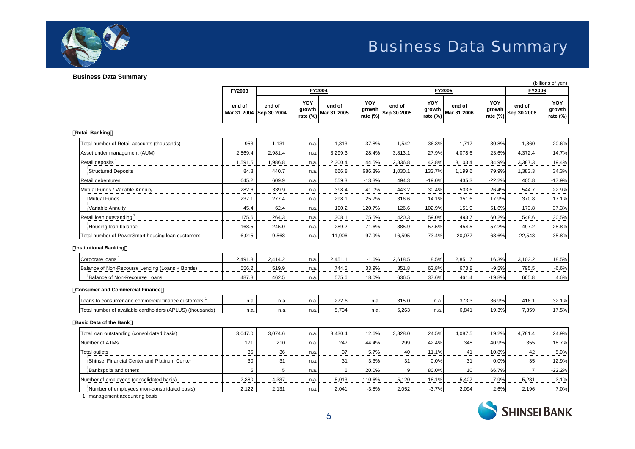

#### **Business Data Summary**

|                                                           |         |                                   |                                  |                       |                           |                       |                           | (billions of yen)     |                                  |                       |                                  |  |
|-----------------------------------------------------------|---------|-----------------------------------|----------------------------------|-----------------------|---------------------------|-----------------------|---------------------------|-----------------------|----------------------------------|-----------------------|----------------------------------|--|
|                                                           | FY2003  |                                   |                                  | <b>FY2004</b>         |                           |                       |                           | FY2005                |                                  | <b>FY2006</b>         |                                  |  |
|                                                           | end of  | end of<br>Mar.31 2004 Sep.30 2004 | <b>YOY</b><br>growth<br>rate (%) | end of<br>Mar.31 2005 | YOY<br>growth<br>rate (%) | end of<br>Sep.30 2005 | YOY<br>growth<br>rate (%) | end of<br>Mar.31 2006 | <b>YOY</b><br>growth<br>rate (%) | end of<br>Sep.30 2006 | <b>YOY</b><br>growth<br>rate (%) |  |
| <b>Retail Banking</b>                                     |         |                                   |                                  |                       |                           |                       |                           |                       |                                  |                       |                                  |  |
| Total number of Retail accounts (thousands)               | 953     | 1,131                             | n.a.                             | 1,313                 | 37.8%                     | 1,542                 | 36.3%                     | 1,717                 | 30.8%                            | 1,860                 | 20.6%                            |  |
| Asset under management (AUM)                              | 2,569.4 | 2,981.4                           | n.a.                             | 3,299.3               | 28.4%                     | 3,813.1               | 27.9%                     | 4,078.6               | 23.6%                            | 4,372.4               | 14.7%                            |  |
| Retail deposits <sup>1</sup>                              | 1,591.5 | 1,986.8                           | n.a.                             | 2,300.4               | 44.5%                     | 2,836.8               | 42.8%                     | 3,103.4               | 34.9%                            | 3,387.3               | 19.4%                            |  |
| Structured Deposits                                       | 84.8    | 440.7                             | n.a.                             | 666.8                 | 686.3%                    | 1,030.1               | 133.7%                    | 1,199.6               | 79.9%                            | 1,383.3               | 34.3%                            |  |
| Retail debentures                                         | 645.2   | 609.9                             | n.a.                             | 559.3                 | $-13.3%$                  | 494.3                 | $-19.0%$                  | 435.3                 | $-22.2%$                         | 405.8                 | $-17.9%$                         |  |
| Mutual Funds / Variable Annuity                           | 282.6   | 339.9                             | n.a.                             | 398.4                 | 41.0%                     | 443.2                 | 30.4%                     | 503.6                 | 26.4%                            | 544.7                 | 22.9%                            |  |
| Mutual Funds                                              | 237.1   | 277.4                             | n.a.                             | 298.1                 | 25.7%                     | 316.6                 | 14.1%                     | 351.6                 | 17.9%                            | 370.8                 | 17.1%                            |  |
| Variable Annuity                                          | 45.4    | 62.4                              | n.a.                             | 100.2                 | 120.7%                    | 126.6                 | 102.9%                    | 151.9                 | 51.6%                            | 173.8                 | 37.3%                            |  |
| Retail loan outstanding                                   | 175.6   | 264.3                             | n.a.                             | 308.1                 | 75.5%                     | 420.3                 | 59.0%                     | 493.7                 | 60.2%                            | 548.6                 | 30.5%                            |  |
| Housing loan balance                                      | 168.5   | 245.0                             | n.a.                             | 289.2                 | 71.6%                     | 385.9                 | 57.5%                     | 454.5                 | 57.2%                            | 497.2                 | 28.8%                            |  |
| Total number of PowerSmart housing loan customers         | 6,015   | 9,568                             | n.a.                             | 11,906                | 97.9%                     | 16,595                | 73.4%                     | 20,077                | 68.6%                            | 22,543                | 35.8%                            |  |
| <b>Institutional Banking</b>                              |         |                                   |                                  |                       |                           |                       |                           |                       |                                  |                       |                                  |  |
| Corporate loans <sup>1</sup>                              | 2,491.8 | 2,414.2                           | n.a.                             | 2,451.1               | $-1.6%$                   | 2,618.5               | 8.5%                      | 2,851.7               | 16.3%                            | 3,103.2               | 18.5%                            |  |
| Balance of Non-Recourse Lending (Loans + Bonds)           | 556.2   | 519.9                             | n.a.                             | 744.5                 | 33.9%                     | 851.8                 | 63.8%                     | 673.8                 | $-9.5%$                          | 795.5                 | $-6.6%$                          |  |
| Balance of Non-Recourse Loans                             | 487.8   | 462.5                             | n.a.                             | 575.6                 | 18.0%                     | 636.5                 | 37.6%                     | 461.4                 | $-19.8%$                         | 665.8                 | 4.6%                             |  |
| <b>Consumer and Commercial Finance</b>                    |         |                                   |                                  |                       |                           |                       |                           |                       |                                  |                       |                                  |  |
| -oans to consumer and commercial finance customers 1      | n.a.    | n.a.                              | n.a.                             | 272.6                 | n.a                       | 315.0                 | n.a.                      | 373.3                 | 36.9%                            | 416.1                 | 32.1%                            |  |
| Total number of available cardholders (APLUS) (thousands) | n.a.    | n.a.                              | n.a.                             | 5,734                 | n.a.                      | 6,263                 | n.a.                      | 6,841                 | 19.3%                            | 7,359                 | 17.5%                            |  |
| <b>Basic Data of the Bank</b>                             |         |                                   |                                  |                       |                           |                       |                           |                       |                                  |                       |                                  |  |
| Total loan outstanding (consolidated basis)               | 3,047.0 | 3,074.6                           | n.a.                             | 3,430.4               | 12.6%                     | 3,828.0               | 24.5%                     | 4,087.5               | 19.2%                            | 4,781.4               | 24.9%                            |  |
| Number of ATMs                                            | 171     | 210                               | n.a.                             | 247                   | 44.4%                     | 299                   | 42.4%                     | 348                   | 40.9%                            | 355                   | 18.7%                            |  |
| Total outlets                                             | 35      | 36                                | n.a.                             | 37                    | 5.7%                      | 40                    | 11.1%                     | 41                    | 10.8%                            | 42                    | 5.0%                             |  |
| Shinsei Financial Center and Platinum Center              | 30      | 31                                | n.a.                             | 31                    | 3.3%                      | 31                    | 0.0%                      | 31                    | 0.0%                             | 35                    | 12.9%                            |  |
| Bankspoits and others                                     | 5       | 5                                 | n.a.                             | 6                     | 20.0%                     | 9                     | 80.0%                     | 10                    | 66.7%                            | $\overline{7}$        | $-22.2%$                         |  |
| Number of employees (consolidated basis)                  | 2,380   | 4,337                             | n.a.                             | 5,013                 | 110.6%                    | 5,120                 | 18.1%                     | 5,407                 | 7.9%                             | 5,281                 | 3.1%                             |  |
| Number of employees (non-consolidated basis)              | 2,122   | 2,131                             | n.a.                             | 2,041                 | $-3.8%$                   | 2,052                 | $-3.7%$                   | 2,094                 | 2.6%                             | 2,196                 | 7.0%                             |  |

1 management accounting basis

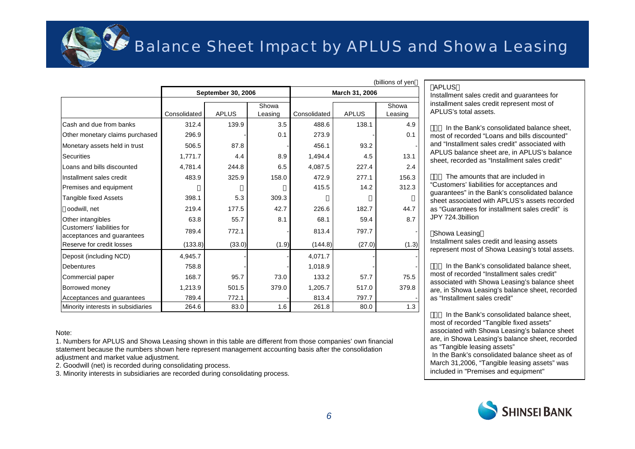

### Balance Sheet Impact by APLUS and Showa Leasing

|                                                          |              |                    |         | ווט או טוווישן |              |         |  |  |  |
|----------------------------------------------------------|--------------|--------------------|---------|----------------|--------------|---------|--|--|--|
|                                                          |              | September 30, 2006 |         | March 31, 2006 |              |         |  |  |  |
|                                                          |              |                    |         |                |              |         |  |  |  |
|                                                          | Consolidated | <b>APLUS</b>       | Showa   | Consolidated   | <b>APLUS</b> | Showa   |  |  |  |
|                                                          |              |                    | Leasing |                |              | Leasing |  |  |  |
| Cash and due from banks                                  | 312.4        | 139.9              | 3.5     | 488.6          | 138.1        | 4.9     |  |  |  |
| Other monetary claims purchased                          | 296.9        |                    | 0.1     | 273.9          |              | 0.1     |  |  |  |
| Monetary assets held in trust                            | 506.5        | 87.8               |         | 456.1          | 93.2         |         |  |  |  |
| Securities                                               | 1,771.7      | 4.4                | 8.9     | 1,494.4        | 4.5          | 13.1    |  |  |  |
| Loans and bills discounted                               | 4,781.4      | 244.8              | 6.5     | 4,087.5        | 227.4        | 2.4     |  |  |  |
| Installment sales credit                                 | 483.9        | 325.9              | 158.0   | 472.9          | 277.1        | 156.3   |  |  |  |
| Premises and equipment                                   |              |                    |         | 415.5          | 14.2         | 312.3   |  |  |  |
| Tangible fixed Assets                                    | 398.1        | 5.3                | 309.3   |                |              |         |  |  |  |
| oodwill, net                                             | 219.4        | 177.5              | 42.7    | 226.6          | 182.7        | 44.7    |  |  |  |
| Other intangibles                                        | 63.8         | 55.7               | 8.1     | 68.1           | 59.4         | 8.7     |  |  |  |
| Customers' liabilities for<br>acceptances and guarantees | 789.4        | 772.1              |         | 813.4          | 797.7        |         |  |  |  |
| Reserve for credit losses                                | (133.8)      | (33.0)             | (1.9)   | (144.8)        | (27.0)       | (1.3)   |  |  |  |
| Deposit (including NCD)                                  | 4,945.7      |                    |         | 4,071.7        |              |         |  |  |  |
| <b>Debentures</b>                                        | 758.8        |                    |         | 1,018.9        |              |         |  |  |  |
| Commercial paper                                         | 168.7        | 95.7               | 73.0    | 133.2          | 57.7         | 75.5    |  |  |  |
| Borrowed money                                           | 1,213.9      | 501.5              | 379.0   | 1,205.7        | 517.0        | 379.8   |  |  |  |
| Acceptances and guarantees                               | 789.4        | 772.1              |         | 813.4          | 797.7        |         |  |  |  |
| Minority interests in subsidiaries                       | 264.6        | 83.0               | 1.6     | 261.8          | 80.0         | 1.3     |  |  |  |

#### Note:

1. Numbers for APLUS and Showa Leasing shown in this table are different from those companies' own financial statement because the numbers shown here represent management accounting basis after the consolidation adjustment and market value adjustment.

2. Goodwill (net) is recorded during consolidating process.

3. Minority interests in subsidiaries are recorded during consolidating process.

(billions of yen

Installment sales credit and guarantees for installment sales credit represent most of APLUS's total assets.

In the Bank's consolidated balance sheet, most of recorded "Loans and bills discounted"and "Installment sales credit" associated with APLUS balance sheet are, in APLUS's balance sheet, recorded as "Installment sales credit"

The amounts that are included in "Customers' liabilities for acceptances and guarantees" in the Bank's consolidated balance sheet associated with APLUS's assets recorded as "Guarantees for installment sales credit" is JPY 724.3billion

#### Showa Leasing

Installment sales credit and leasing assets represent most of Showa Leasing's total assets.

In the Bank's consolidated balance sheet, most of recorded "Installment sales credit"associated with Showa Leasing's balance sheet are, in Showa Leasing's balance sheet, recorded as "Installment sales credit"

In the Bank's consolidated balance sheet, most of recorded "Tangible fixed assets" associated with Showa Leasing's balance sheet are, in Showa Leasing's balance sheet, recorded as "Tangible leasing assets"

In the Bank's consolidated balance sheet as of March 31,2006, "Tangible leasing assets" was included in "Premises and equipment"



APLUS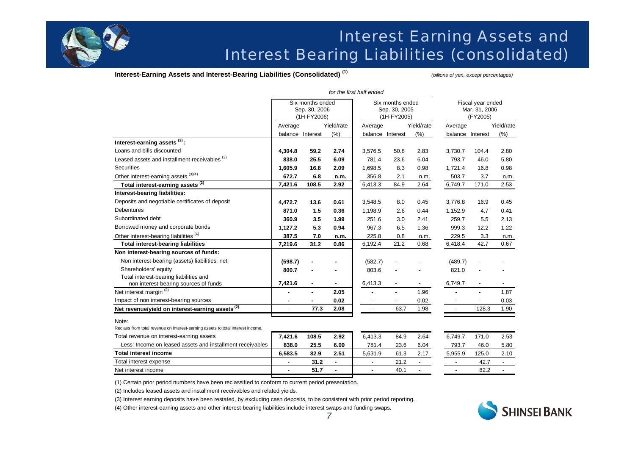

### Interest Earning Assets and Interest Bearing Liabilities (consolidated)

**Interest-Earning Assets and Interest-Bearing Liabilities (Consolidated) (1)** *(billions of yen, except percentages)*

|                                                                                 | Six months ended<br>Sep. 30, 2006<br>(1H-FY2006) |                  |                |                  | Six months ended<br>Sep. 30, 2005<br>(1H-FY2005) |                          | Fiscal year ended<br>Mar. 31, 2006<br>(FY2005) |       |                          |  |
|---------------------------------------------------------------------------------|--------------------------------------------------|------------------|----------------|------------------|--------------------------------------------------|--------------------------|------------------------------------------------|-------|--------------------------|--|
|                                                                                 | Average                                          |                  | Yield/rate     | Average          |                                                  | Yield/rate               | Average                                        |       | Yield/rate               |  |
|                                                                                 |                                                  | balance Interest | (%)            | balance Interest |                                                  | (%)                      | balance Interest                               |       | (% )                     |  |
| Interest-earning assets <sup>(2)</sup> :                                        |                                                  |                  |                |                  |                                                  |                          |                                                |       |                          |  |
| Loans and bills discounted                                                      | 4,304.8                                          | 59.2             | 2.74           | 3,576.5          | 50.8                                             | 2.83                     | 3,730.7                                        | 104.4 | 2.80                     |  |
| Leased assets and installment receivables <sup>(2)</sup>                        | 838.0                                            | 25.5             | 6.09           | 781.4            | 23.6                                             | 6.04                     | 793.7                                          | 46.0  | 5.80                     |  |
| <b>Securities</b>                                                               | 1,605.9                                          | 16.8             | 2.09           | 1,698.5          | 8.3                                              | 0.98                     | 1.721.4                                        | 16.8  | 0.98                     |  |
| Other interest-earning assets (3)(4)                                            | 672.7                                            | 6.8              | n.m.           | 356.8            | 2.1                                              | n.m.                     | 503.7                                          | 3.7   | n.m.                     |  |
| Total interest-earning assets <sup>(2)</sup>                                    | 7,421.6                                          | 108.5            | 2.92           | 6,413.3          | 84.9                                             | 2.64                     | 6,749.7                                        | 171.0 | 2.53                     |  |
| Interest-bearing liabilities:                                                   |                                                  |                  |                |                  |                                                  |                          |                                                |       |                          |  |
| Deposits and negotiable certificates of deposit                                 | 4,472.7                                          | 13.6             | 0.61           | 3.548.5          | 8.0                                              | 0.45                     | 3.776.8                                        | 16.9  | 0.45                     |  |
| <b>Debentures</b>                                                               | 871.0                                            | 1.5              | 0.36           | 1,198.9          | 2.6                                              | 0.44                     | 1,152.9                                        | 4.7   | 0.41                     |  |
| Subordinated debt                                                               | 360.9                                            | 3.5              | 1.99           | 251.6            | 3.0                                              | 2.41                     | 259.7                                          | 5.5   | 2.13                     |  |
| Borrowed money and corporate bonds                                              | 1,127.2                                          | 5.3              | 0.94           | 967.3            | 6.5                                              | 1.36                     | 999.3                                          | 12.2  | 1.22                     |  |
| Other interest-bearing liabilities <sup>(4)</sup>                               | 387.5                                            | 7.0              | n.m.           | 225.8            | 0.8                                              | n.m.                     | 229.5                                          | 3.3   | n.m.                     |  |
| <b>Total interest-bearing liabilities</b>                                       | 7,219.6                                          | 31.2             | 0.86           | 6,192.4          | 21.2                                             | 0.68                     | 6,418.4                                        | 42.7  | 0.67                     |  |
| Non interest-bearing sources of funds:                                          |                                                  |                  |                |                  |                                                  |                          |                                                |       |                          |  |
| Non interest-bearing (assets) liabilities, net                                  | (598.7)                                          |                  |                | (582.7)          |                                                  |                          | (489.7)                                        |       |                          |  |
| Shareholders' equity                                                            | 800.7                                            |                  |                | 803.6            |                                                  |                          | 821.0                                          |       |                          |  |
| Total interest-bearing liabilities and                                          |                                                  |                  |                |                  |                                                  |                          |                                                |       |                          |  |
| non interest-bearing sources of funds                                           | 7,421.6                                          |                  |                | 6,413.3          |                                                  |                          | 6,749.7                                        |       |                          |  |
| Net interest margin <sup>(2)</sup>                                              |                                                  |                  | 2.05           |                  |                                                  | 1.96                     |                                                |       | 1.87                     |  |
| Impact of non interest-bearing sources                                          |                                                  |                  | 0.02           |                  |                                                  | 0.02                     |                                                |       | 0.03                     |  |
| Net revenue/yield on interest-earning assets <sup>(2)</sup>                     | $\blacksquare$                                   | 77.3             | 2.08           | $\sim$           | 63.7                                             | 1.98                     | $\overline{\phantom{a}}$                       | 128.3 | 1.90                     |  |
| Note:                                                                           |                                                  |                  |                |                  |                                                  |                          |                                                |       |                          |  |
| Reclass from total revenue on interest-earning assets to total interest income. |                                                  |                  |                |                  |                                                  |                          |                                                |       |                          |  |
| Total revenue on interest-earning assets                                        | 7,421.6                                          | 108.5            | 2.92           | 6,413.3          | 84.9                                             | 2.64                     | 6,749.7                                        | 171.0 | 2.53                     |  |
| Less: Income on leased assets and installment receivables                       | 838.0                                            | 25.5             | 6.09           | 781.4            | 23.6                                             | 6.04                     | 793.7                                          | 46.0  | 5.80                     |  |
| <b>Total interest income</b>                                                    | 6,583.5                                          | 82.9             | 2.51           | 5,631.9          | 61.3                                             | 2.17                     | 5,955.9                                        | 125.0 | 2.10                     |  |
| Total interest expense                                                          | $\overline{a}$                                   | 31.2             | $\blacksquare$ | $\overline{a}$   | 21.2                                             | $\overline{\phantom{a}}$ | $\overline{a}$                                 | 42.7  | $\overline{\phantom{a}}$ |  |
| Net interest income                                                             |                                                  | 51.7             | L.             | $\overline{a}$   | 40.1                                             | $\overline{a}$           | $\overline{\phantom{a}}$                       | 82.2  | $\blacksquare$           |  |

(1) Certain prior period numbers have been reclassified to conform to current period presentation.

(2) Includes leased assets and installment receivables and related yields.

(3) Interest earning deposits have been restated, by excluding cash deposits, to be consistent with prior period reporting.

(4) Other interest-earning assets and other interest-bearing liabilities include interest swaps and funding swaps.

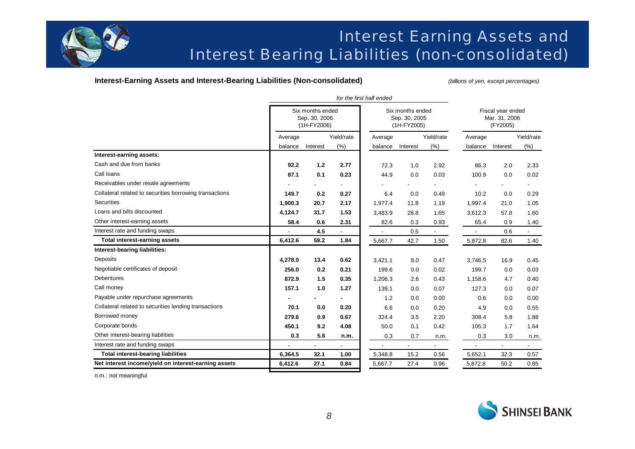

### Interest Earning Assets and Interest Bearing Liabilities (non-consolidated)

### **Interest-Earning Assets and Interest-Bearing Liabilities (Non-consolidated)** *(billions of yen, except percentages)*

|                                                         | Average | Six months ended<br>Sep. 30, 2006<br>(1H-FY2006) |            |                | Six months ended             |                          |                                                |                |                          |
|---------------------------------------------------------|---------|--------------------------------------------------|------------|----------------|------------------------------|--------------------------|------------------------------------------------|----------------|--------------------------|
|                                                         |         |                                                  |            |                | Sep. 30, 2005<br>(1H-FY2005) |                          | Fiscal year ended<br>Mar. 31, 2006<br>(FY2005) |                |                          |
|                                                         |         |                                                  | Yield/rate | Average        |                              | Yield/rate               | Average                                        |                | Yield/rate               |
|                                                         | balance | Interest                                         | (% )       | balance        | Interest                     | (% )                     | balance                                        | Interest       | (% )                     |
| Interest-earning assets:                                |         |                                                  |            |                |                              |                          |                                                |                |                          |
| Cash and due from banks                                 | 92.2    | 1.2                                              | 2.77       | 72.3           | 1.0                          | 2.92                     | 86.3                                           | 2.0            | 2.33                     |
| Call loans                                              | 87.1    | 0.1                                              | 0.23       | 44.9           | 0.0                          | 0.03                     | 100.9                                          | 0.0            | 0.02                     |
| Receivables under resale agreements                     |         |                                                  |            |                |                              | $\overline{\phantom{0}}$ |                                                |                | $\overline{\phantom{a}}$ |
| Collateral related to securities borrowing transactions | 149.7   | 0.2                                              | 0.27       | 6.4            | 0.0                          | 0.49                     | 10.2                                           | 0.0            | 0.29                     |
| <b>Securities</b>                                       | 1,900.3 | 20.7                                             | 2.17       | 1,977.4        | 11.8                         | 1.19                     | 1,997.4                                        | 21.0           | 1.05                     |
| Loans and bills discounted                              | 4,124.7 | 31.7                                             | 1.53       | 3,483.9        | 28.8                         | 1.65                     | 3,612.3                                        | 57.8           | 1.60                     |
| Other interest-earning assets                           | 58.4    | 0.6                                              | 2.31       | 82.6           | 0.3                          | 0.93                     | 65.4                                           | 0.9            | 1.40                     |
| Interest rate and funding swaps                         |         | 4.5                                              |            | $\blacksquare$ | 0.5                          | $\overline{\phantom{0}}$ |                                                | 0.6            |                          |
| <b>Total interest-earning assets</b>                    | 6,412.6 | 59.2                                             | 1.84       | 5,667.7        | 42.7                         | 1.50                     | 5,872.8                                        | 82.6           | 1.40                     |
| Interest-bearing liabilities:                           |         |                                                  |            |                |                              |                          |                                                |                |                          |
| Deposits                                                | 4,278.0 | 13.4                                             | 0.62       | 3,421.1        | 8.0                          | 0.47                     | 3,746.5                                        | 16.9           | 0.45                     |
| Negotiable certificates of deposit                      | 256.0   | 0.2                                              | 0.21       | 199.6          | 0.0                          | 0.02                     | 199.7                                          | 0.0            | 0.03                     |
| <b>Debentures</b>                                       | 872.9   | 1.5                                              | 0.35       | 1,206.3        | 2.6                          | 0.43                     | 1,158.6                                        | 4.7            | 0.40                     |
| Call money                                              | 157.1   | 1.0                                              | 1.27       | 139.1          | 0.0                          | 0.07                     | 127.3                                          | 0.0            | 0.07                     |
| Payable under repurchase agreements                     |         |                                                  |            | 1.2            | 0.0                          | 0.00                     | 0.6                                            | 0.0            | 0.00                     |
| Collateral related to securities lending transactions   | 70.1    | 0.0                                              | 0.20       | 6.6            | 0.0                          | 0.20                     | 4.9                                            | 0.0            | 0.55                     |
| Borrowed money                                          | 279.6   | 0.9                                              | 0.67       | 324.4          | 3.5                          | 2.20                     | 308.4                                          | 5.8            | 1.88                     |
| Corporate bonds                                         | 450.1   | 9.2                                              | 4.08       | 50.0           | 0.1                          | 0.42                     | 105.3                                          | 1.7            | 1.64                     |
| Other interest-bearing liabilities                      | 0.3     | 5.6                                              | n.m.       | 0.3            | 0.7                          | n.m.                     | 0.3                                            | 3.0            | n.m.                     |
| Interest rate and funding swaps                         |         | $\overline{\phantom{0}}$                         |            |                |                              | $\overline{\phantom{a}}$ |                                                | $\blacksquare$ |                          |
| <b>Total interest-bearing liabilities</b>               | 6,364.5 | 32.1                                             | 1.00       | 5,348.8        | 15.2                         | 0.56                     | 5,652.1                                        | 32.3           | 0.57                     |
| Net interest income/yield on interest-earning assets    | 6,412.6 | 27.1                                             | 0.84       | 5,667.7        | 27.4                         | 0.96                     | 5,872.8                                        | 50.2           | 0.85                     |

n.m.: not meaningful

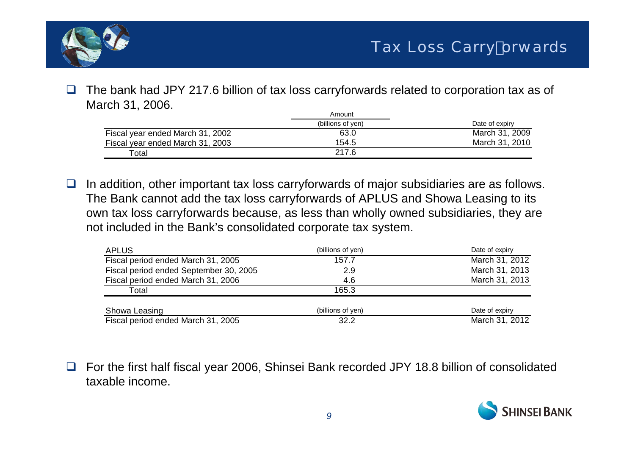

 $\Box$  The bank had JPY 217.6 billion of tax loss carryforwards related to corporation tax as of March 31, 2006.

|                                  | Amount            |                |
|----------------------------------|-------------------|----------------|
|                                  | (billions of ven) | Date of expiry |
| Fiscal year ended March 31, 2002 | 63.0              | March 31, 2009 |
| Fiscal year ended March 31, 2003 | 154.5             | March 31, 2010 |
| Total                            | 217.6             |                |

 $\Box$  In addition, other important tax loss carryforwards of major subsidiaries are as follows. The Bank cannot add the tax loss carryforwards of APLUS and Showa Leasing to its own tax loss carryforwards because, as less than wholly owned subsidiaries, they are not included in the Bank's consolidated corporate tax system.

| <b>APLUS</b>                           | (billions of yen) | Date of expiry |
|----------------------------------------|-------------------|----------------|
| Fiscal period ended March 31, 2005     | 157.7             | March 31, 2012 |
| Fiscal period ended September 30, 2005 | 2.9               | March 31, 2013 |
| Fiscal period ended March 31, 2006     | 4.6               | March 31, 2013 |
| Total                                  | 165.3             |                |
| Showa Leasing                          | (billions of yen) | Date of expiry |
| Fiscal period ended March 31, 2005     | 32.2              | March 31, 2012 |

 $\Box$  For the first half fiscal year 2006, Shinsei Bank recorded JPY 18.8 billion of consolidated taxable income.

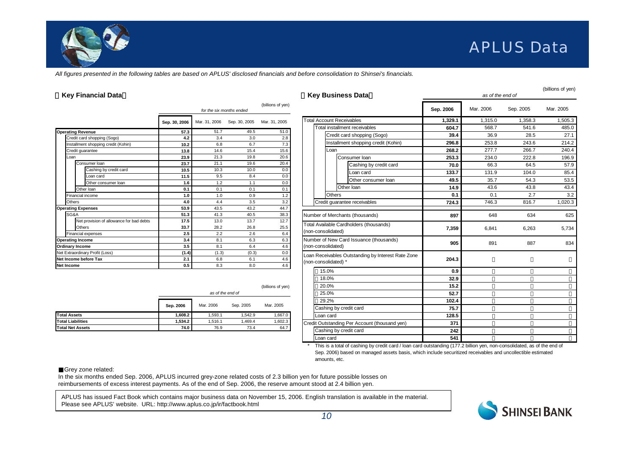

### APLUS Data

*All figures presented in the following tables are based on APLUS' disclosed financials and before consolidation to Shinsei's financials.*

|                           |                                          | (billions of yen)<br>for the six months ended |               |               |               |  |  |  |  |
|---------------------------|------------------------------------------|-----------------------------------------------|---------------|---------------|---------------|--|--|--|--|
|                           |                                          | Sep. 30, 2006                                 | Mar. 31, 2006 | Sep. 30, 2005 | Mar. 31, 2005 |  |  |  |  |
| <b>Operating Revenue</b>  |                                          | 57.3                                          | 51.7          | 49.5          | 51.0          |  |  |  |  |
|                           | Credit card shopping (Sogo)              | 4.2                                           | 3.4           | 3.0           | 2.8           |  |  |  |  |
|                           | Installment shopping credit (Kohin)      | 10.2                                          | 6.8           | 6.7           | 7.3           |  |  |  |  |
|                           | Credit guarantee                         | 13.8                                          | 14.6          | 15.4          | 15.6          |  |  |  |  |
| Loan                      |                                          | 23.9                                          | 21.3          | 19.8          | 20.6          |  |  |  |  |
|                           | Consumer Ioan                            | 23.7                                          | 21.1          | 19.6          | 20.4          |  |  |  |  |
|                           | Cashing by credit card                   | 10.5                                          | 10.3          | 10.0          | 0.0           |  |  |  |  |
|                           | Loan card                                | 11.5                                          | 9.5           | 8.4           | 0.0           |  |  |  |  |
|                           | Other consumer loan                      | 1.6                                           | 1.2           | 1.1           | 0.0           |  |  |  |  |
|                           | Other Ioan                               | 0.1                                           | 0.1           | 0.1           | 0.1           |  |  |  |  |
|                           | Financial income                         | 1.0                                           | 1.0           | 0.9           | 1.2           |  |  |  |  |
| Others                    |                                          | 4.0                                           | 4.4           | 3.5           | 3.2           |  |  |  |  |
| <b>Operating Expenses</b> |                                          | 53.9                                          | 43.5          | 43.2          | 44.7          |  |  |  |  |
| SG&A                      |                                          | 51.3                                          | 41.3          | 40.5          | 38.3          |  |  |  |  |
|                           | Net provision of allowance for bad debts | 17.5                                          | 13.0          | 13.7          | 12.7          |  |  |  |  |
|                           | Others                                   | 33.7                                          | 28.2          | 26.8          | 25.5          |  |  |  |  |
|                           | Financial expenses                       | 2.5                                           | 2.2           | 2.6           | 6.4           |  |  |  |  |
| <b>Operating Income</b>   |                                          | 3.4                                           | 8.1           | 6.3           | 6.3           |  |  |  |  |
| Ordinary Income           |                                          | 3.5                                           | 8.1           | 6.4           | 4.6           |  |  |  |  |
|                           | Net Extraordinary Profit (Loss)          | (1.4)                                         | (1.3)         | (0.3)         | 0.0           |  |  |  |  |
|                           | Net Income before Tax                    | 2.1                                           | 6.8           | 6.1           | 4.6           |  |  |  |  |
| Net Income                |                                          | 0.5                                           | 8.3           | 8.0           | 4.6           |  |  |  |  |

|                          |           | (billions of yen)<br>as of the end of |           |           |  |  |  |  |  |  |
|--------------------------|-----------|---------------------------------------|-----------|-----------|--|--|--|--|--|--|
|                          | Sep. 2006 | Mar. 2006                             | Sep. 2005 | Mar. 2005 |  |  |  |  |  |  |
| <b>Total Assets</b>      | 1,608.2   | 1.593.1                               | 1.542.9   | 1,667.0   |  |  |  |  |  |  |
| <b>Total Liabilities</b> | 1,534.2   | 1.516.1                               | 1,469.4   | 1,602.3   |  |  |  |  |  |  |
| <b>Total Net Assets</b>  | 74.0      | 76.9                                  | 73.4      | 64.7      |  |  |  |  |  |  |
|                          |           |                                       |           |           |  |  |  |  |  |  |

| <b>Key Financial Data</b><br><b>Key Business Data</b>   |                    |                    |                             |                    |                                                    | as of the end of | (billions of yen) |           |           |
|---------------------------------------------------------|--------------------|--------------------|-----------------------------|--------------------|----------------------------------------------------|------------------|-------------------|-----------|-----------|
|                                                         |                    |                    | for the six months ended    | (billions of yen)  |                                                    | Sep. 2006        | Mar. 2006         | Sep. 2005 | Mar. 2005 |
|                                                         | Sep. 30, 2006      |                    | Mar. 31, 2006 Sep. 30, 2005 | Mar. 31, 2005      | <b>Total Account Receivables</b>                   | 1,329.1          | 1,315.0           | 1,358.3   | 1,505.3   |
|                                                         |                    | 51.7               | 49.5                        |                    | Total installment receivables                      | 604.7            | 568.7             | 541.6     | 485.0     |
| <b>Operating Revenue</b><br>Credit card shopping (Sogo) | 57.3<br>4.2        | 3.4                | 3.0                         | 51.0<br>2.8        | Credit card shopping (Sogo)                        | 39.4             | 36.9              | 28.5      | 27.1      |
| Installment shopping credit (Kohin)                     | 10.2               | 6.8                | 6.7                         | 7.3                | Installment shopping credit (Kohin)                | 296.8            | 253.8             | 243.6     | 214.2     |
| Credit guarantee                                        | 13.8               | 14.6               | 15.4                        | 15.6               | Loan                                               | 268.2            | 277.7             | 266.7     | 240.4     |
| Loan                                                    | 23.9               | 21.3               | 19.8                        | 20.6               | Consumer Ioan                                      | 253.3            | 234.0             | 222.8     | 196.9     |
| Consumer Ioan                                           | 23.7               | 21.1               | 19.6                        | 20.4               | Cashing by credit card                             | 70.0             | 66.3              | 64.5      | 57.9      |
| Cashing by credit card                                  | 10.5               | 10.3               | 10.0                        | 0.0                | Loan card                                          | 133.7            | 131.9             | 104.0     | 85.4      |
| Loan card                                               | 11.5               | 9.5                | 8.4                         | 0.0                | Other consumer loan                                |                  | 35.7              | 54.3      | 53.5      |
| Other consumer loan                                     | 1.6                | 1.2                | 1.1                         | 0.0                |                                                    | 49.5             |                   |           |           |
| Other Ioan                                              | 0.1                | 0.1                | 0.1                         | 0.1                | Other Ioan                                         | 14.9             | 43.6              | 43.8      | 43.4      |
| Financial income                                        | 1.0                | 1.0                | 0.9                         | 1.2                | <b>Others</b>                                      | 0.1              | 0.1               | 2.7       | 3.2       |
| Others                                                  | 4.0                | 4.4                | 3.5                         | 3.2                | Credit quarantee receivables                       | 724.3            | 746.3             | 816.7     | 1,020.3   |
| <b>Operating Expenses</b>                               | 53.9               | 43.5               | 43.2                        | 44.7               |                                                    |                  |                   |           |           |
| SG&A                                                    | 51.3               | 41.3               | 40.5                        | 38.3               | Number of Merchants (thousands)                    | 897              | 648               | 634       | 625       |
| Net provision of allowance for bad debts                | 17.5               | 13.0               | 13.7                        | 12.7               | Total Available Cardholders (thousands)            |                  |                   |           |           |
| Others                                                  | 33.7               | 28.2               | 26.8                        | 25.5               | (non-consolidated)                                 | 7,359            | 6,841             | 6,263     | 5,734     |
| Financial expenses                                      | 2.5                | 2.2<br>8.1         | 2.6<br>6.3                  | 6.4<br>6.3         | Number of New Card Issuance (thousands)            |                  |                   |           |           |
| <b>Operating Income</b><br><b>Ordinary Income</b>       | 3.4<br>3.5         | 8.1                | 6.4                         | 4.6                | (non-consolidated)                                 | 905              | 891               | 887       | 834       |
| Net Extraordinary Profit (Loss)                         | (1.4)              | (1.3)              | (0.3)                       | 0.0                |                                                    |                  |                   |           |           |
| Net Income before Tax                                   | 2.1                | 6.8                | 6.1                         | 4.6                | Loan Receivables Outstanding by Interest Rate Zone | 204.3            |                   |           |           |
| <b>Net Income</b>                                       | 0.5                | 8.3                | 8.0                         | 4.6                | (non-consolidated) *                               |                  |                   |           |           |
|                                                         |                    |                    |                             |                    | 15.0%                                              | 0.9              |                   |           |           |
|                                                         |                    |                    |                             |                    | 18.0%                                              | 32.9             |                   |           |           |
|                                                         |                    |                    |                             | (billions of yen)  | 20.0%                                              | 15.2             |                   |           |           |
|                                                         |                    |                    | as of the end of            |                    | 25.0%                                              | 52.7             |                   |           |           |
|                                                         |                    |                    |                             |                    | 29.2%                                              | 102.4            |                   |           |           |
|                                                         | Sep. 2006          | Mar. 2006          | Sep. 2005                   | Mar. 2005          |                                                    |                  |                   |           |           |
| <b>Total Assets</b>                                     |                    |                    | 1.542.9                     |                    | Cashing by credit card                             | 75.7             |                   |           |           |
| <b>Total Liabilities</b>                                | 1,608.2<br>1,534.2 | 1,593.1<br>1,516.1 | 1,469.4                     | 1,667.0<br>1,602.3 | Loan card                                          | 128.5            |                   |           |           |
| <b>Total Net Assets</b>                                 | 74.0               | 76.9               | 73.4                        | 64.7               | Credit Outstanding Per Account (thousand yen)      | 371              |                   |           |           |
|                                                         |                    |                    |                             |                    | Cashing by credit card                             | 242              |                   |           |           |
|                                                         |                    |                    |                             |                    | Loan card                                          | 541              |                   |           |           |

 This is a total of cashing by credit card / loan card outstanding (177.2 billion yen, non-consolidated, as of the end of Sep. 2006) based on managed assets basis, which include securitized receivables and uncollectible estimated amounts, etc.

Grey zone related:

In the six months ended Sep. 2006, APLUS incurred grey-zone related costs of 2.3 billion yen for future possible losses on reimbursements of excess interest payments. As of the end of Sep. 2006, the reserve amount stood at 2.4 billion yen.

APLUS has issued Fact Book which contains major business data on November 15, 2006. English translation is available in the material. Please see APLUS' website. URL: http://www.aplus.co.jp/ir/factbook.html



\*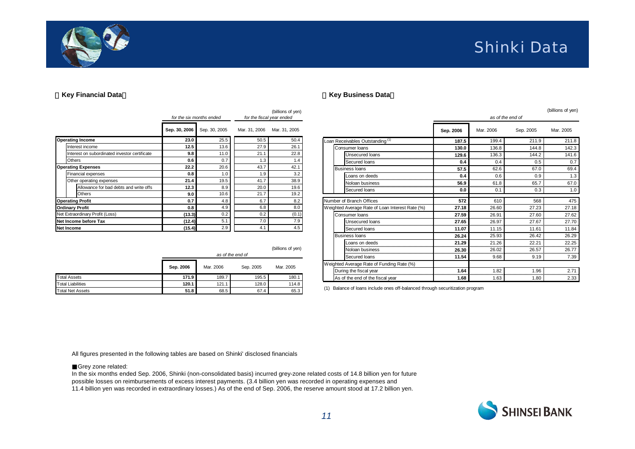

### **Shinki Data**

#### **Key Financial Data**

|                                               |               | for the six months ended | for the fiscal year ended | (billions of yen) |
|-----------------------------------------------|---------------|--------------------------|---------------------------|-------------------|
|                                               | Sep. 30, 2006 | Sep. 30, 2005            | Mar. 31, 2006             | Mar. 31, 2005     |
| <b>Operating Income</b>                       | 23.0          | 25.5                     | 50.5                      | 50.4              |
| Interest income                               | 12.5          | 13.6                     | 27.9                      | 26.1              |
| Interest on subordinated investor certificate | 9.8           | 11.0                     | 21.1                      | 22.8              |
| Others                                        | 0.6           | 0.7                      | 1.3                       | 1.4               |
| <b>Operating Expenses</b>                     | 22.2          | 20.6                     | 43.7                      | 42.1              |
| <b>Financial expenses</b>                     | 0.8           | 1.0                      | 1.9                       | 3.2               |
| Other operating expenses                      | 21.4          | 19.5                     | 41.7                      | 38.9              |
| Allowance for bad debts and write offs        | 12.3          | 8.9                      | 20.0                      | 19.6<br><br>      |
| Others                                        | 9.0           | 10.6                     | 21.7                      | 19.2              |
| <b>Operating Profit</b>                       | 0.7           | 4.8                      | 6.7                       | 8.2               |
| <b>Ordinary Profit</b>                        | 0.8           | 4.9                      | 6.8                       | 8.0               |
| Net Extraordinary Profit (Loss)               | (13.3)        | 0.2                      | 0.2                       | (0.1)             |
| Net Income before Tax                         | (12.4)        | 5.1                      | 7.0                       | 7.9               |
| <b>Net Income</b>                             | (15.4)        | 2.9                      | 4.1                       | 4.5               |

|                          | (billions of yen)<br>as of the end of |           |           |           |  |  |  |  |  |
|--------------------------|---------------------------------------|-----------|-----------|-----------|--|--|--|--|--|
|                          | Sep. 2006                             | Mar. 2006 | Sep. 2005 | Mar. 2005 |  |  |  |  |  |
| <b>Total Assets</b>      | 171.9                                 | 189.7     | 195.5     | 180.1     |  |  |  |  |  |
| <b>Total Liabilities</b> | 120.1                                 | 121.1     | 128.0     | 114.8     |  |  |  |  |  |
| Total Net Assets         | 51.8                                  | 68.5      | 67.4      | 65.3      |  |  |  |  |  |

|                                                 |           |           |                  | (billions of yen) |
|-------------------------------------------------|-----------|-----------|------------------|-------------------|
|                                                 |           |           | as of the end of |                   |
|                                                 | Sep. 2006 | Mar. 2006 | Sep. 2005        | Mar. 2005         |
| Loan Receivables Outstanding <sup>(1)</sup>     | 187.5     | 199.4     | 211.9            | 211.8             |
| Consumer Ioans                                  | 130.0     | 136.8     | 144.8            | 142.3             |
| Unsecured loans                                 | 129.6     | 136.3     | 144.2            | 141.6             |
| Secured Ioans                                   | 0.4       | 0.4       | 0.5              | 0.7               |
| <b>Business loans</b>                           | 57.5      | 62.6      | 67.0             | 69.4              |
| Loans on deeds                                  | 0.4       | 0.6       | 0.9              | 1.3               |
| Noloan business                                 | 56.9      | 61.8      | 65.7             | 67.0              |
| Secured Ioans                                   | 0.0       | 0.1       | 0.3              | 1.0               |
| Number of Branch Offices                        | 572       | 610       | 568              | 475               |
| Weighted Average Rate of Loan Interest Rate (%) | 27.18     | 26.60     | 27.23            | 27.18             |
| Consumer Ioans                                  | 27.59     | 26.91     | 27.60            | 27.62             |
| Unsecured loans                                 | 27.65     | 26.97     | 27.67            | 27.70             |
| Secured Ioans                                   | 11.07     | 11.15     | 11.61            | 11.84             |
| <b>Business loans</b>                           | 26.24     | 25.93     | 26.42            | 26.29             |
| Loans on deeds                                  | 21.29     | 21.26<br> | 22.21            | 22.25<br>         |
| Noloan business                                 | 26.30     | 26.02     | 26.57            | 26.77             |
| Secured Ioans                                   | 11.54     | 9.68      | 9.19             | 7.39              |
| Weighted Average Rate of Funding Rate (%)       |           |           |                  |                   |
| During the fiscal year                          | 1.64      | 1.82<br>  | 1.96             | 2.71              |
| As of the end of the fiscal year                | 1.68      | 1.63      | 1.80             | 2.33              |

(1) Balance of loans include ones off-balanced through securitization program

All figures presented in the following tables are based on Shinki' disclosed financials

Grey zone related:

In the six months ended Sep. 2006, Shinki (non-consolidated basis) incurred grey-zone related costs of 14.8 billion yen for future possible losses on reimbursements of excess interest payments. (3.4 billion yen was recorded in operating expenses and 11.4 billion yen was recorded in extraordinary losses.) As of the end of Sep. 2006, the reserve amount stood at 17.2 billion yen.

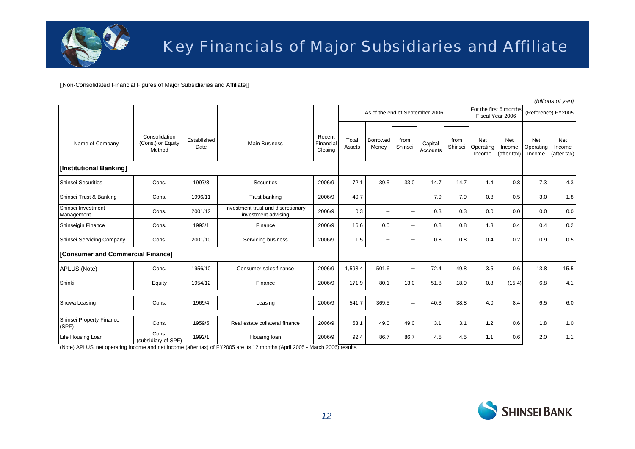

Non-Consolidated Financial Figures of Major Subsidiaries and Affiliate

|                                   |                                              |                     |                                                           |                                |                                 |                   |                 |                     |                                            |                            |                              |                            | (billions of yen)                   |
|-----------------------------------|----------------------------------------------|---------------------|-----------------------------------------------------------|--------------------------------|---------------------------------|-------------------|-----------------|---------------------|--------------------------------------------|----------------------------|------------------------------|----------------------------|-------------------------------------|
|                                   |                                              |                     |                                                           |                                | As of the end of September 2006 |                   |                 |                     | For the first 6 months<br>Fiscal Year 2006 |                            |                              | (Reference) FY2005         |                                     |
| Name of Company                   | Consolidation<br>(Cons.) or Equity<br>Method | Established<br>Date | <b>Main Business</b>                                      | Recent<br>Financial<br>Closing | Total<br>Assets                 | Borrowed<br>Money | from<br>Shinsei | Capital<br>Accounts | from<br>Shinsei                            | Net<br>Operating<br>Income | Net<br>Income<br>(after tax) | Net<br>Operating<br>Income | <b>Net</b><br>Income<br>(after tax) |
| [Institutional Banking]           |                                              |                     |                                                           |                                |                                 |                   |                 |                     |                                            |                            |                              |                            |                                     |
| Shinsei Securities                | Cons.                                        | 1997/8              | Securities                                                | 2006/9                         | 72.1                            | 39.5              | 33.0            | 14.7                | 14.7                                       | 1.4                        | 0.8                          | 7.3                        | 4.3                                 |
| Shinsei Trust & Banking           | Cons.                                        | 1996/11             | Trust banking                                             | 2006/9                         | 40.7                            |                   |                 | 7.9                 | 7.9                                        | 0.8                        | 0.5                          | 3.0                        | 1.8                                 |
| Shinsei Investment<br>Management  | Cons.                                        | 2001/12             | Investment trust and discretionary<br>investment advising | 2006/9                         | 0.3                             |                   |                 | 0.3                 | 0.3                                        | 0.0                        | 0.0                          | 0.0                        | 0.0                                 |
| Shinseigin Finance                | Cons.                                        | 1993/1              | Finance                                                   | 2006/9                         | 16.6                            | 0.5               |                 | 0.8                 | 0.8                                        | 1.3                        | 0.4                          | 0.4                        | 0.2                                 |
| Shinsei Servicing Company         | Cons.                                        | 2001/10             | Servicing business                                        | 2006/9                         | 1.5                             |                   |                 | 0.8                 | 0.8                                        | 0.4                        | 0.2                          | 0.9                        | 0.5                                 |
| [Consumer and Commercial Finance] |                                              |                     |                                                           |                                |                                 |                   |                 |                     |                                            |                            |                              |                            |                                     |
| APLUS (Note)                      | Cons.                                        | 1956/10             | Consumer sales finance                                    | 2006/9                         | 1,593.4                         | 501.6             |                 | 72.4                | 49.8                                       | 3.5                        | 0.6                          | 13.8                       | 15.5                                |
| Shinki                            | Equity                                       | 1954/12             | Finance                                                   | 2006/9                         | 171.9                           | 80.1              | 13.0            | 51.8                | 18.9                                       | 0.8                        | (15.4)                       | 6.8                        | 4.1                                 |
| Showa Leasing                     | Cons.                                        | 1969/4              | Leasing                                                   | 2006/9                         | 541.7                           | 369.5             |                 | 40.3                | 38.8                                       | 4.0                        | 8.4                          | 6.5                        | 6.0                                 |
| Shinsei Property Finance<br>(SPF) | Cons.                                        | 1959/5              | Real estate collateral finance                            | 2006/9                         | 53.1                            | 49.0              | 49.0            | 3.1                 | 3.1                                        | 1.2                        | 0.6                          | 1.8                        | 1.0                                 |
| Life Housing Loan                 | Cons.<br>(subsidiary of SPF)                 | 1992/1              | Housing loan                                              | 2006/9                         | 92.4                            | 86.7              | 86.7            | 4.5                 | 4.5                                        | 1.1                        | 0.6                          | 2.0                        | 1.1                                 |

(Note) APLUS' net operating income and net income (after tax) of FY2005 are its 12 months (April 2005 - March 2006) results.